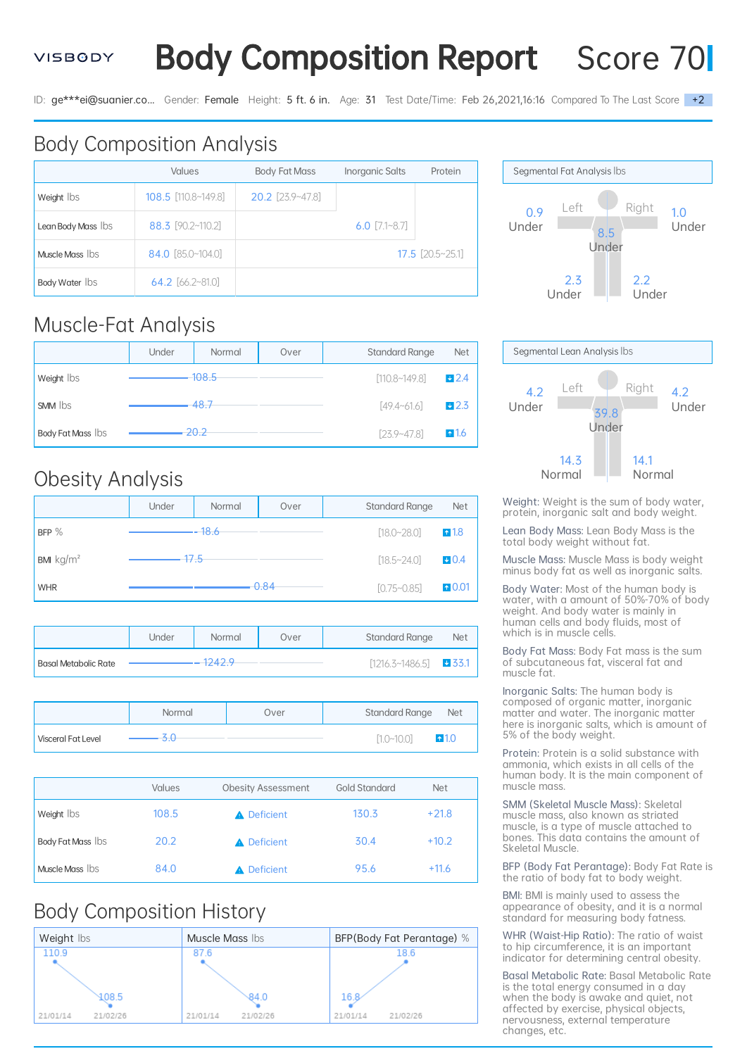#### **VISBGDY**

**Body Composition Report** Score 70

ID: ge\*\*\*ei@suanier.co... Gender: Female Height: 5 ft. 6 in. Age: 31 Test Date/Time: Feb 26,2021,16:16 Compared To The Last Score +2

# Body Composition Analysis

|                    | <b>Values</b>       | <b>Body Fat Mass</b> | <b>Inorganic Salts</b> | Protein                     |
|--------------------|---------------------|----------------------|------------------------|-----------------------------|
| Weight lbs         | 108.5 [110.8~149.8] | $20.2$ [23.9~47.8]   |                        |                             |
| Lean Body Mass Ibs | 88.3 [90.2~110.2]   |                      | 6.0 $[7.1 - 8.7]$      |                             |
| Muscle Mass Ibs    | 84.0 [85.0~104.0]   |                      |                        | $17.5$ $[20.5 \times 25.1]$ |
| Body Water Ibs     | $64.2$ [66.2~81.0]  |                      |                        |                             |

#### Muscle-Fat Analysis

|                   | Under | Normal   | Over | <b>Standard Range</b> | <b>Net</b>      |
|-------------------|-------|----------|------|-----------------------|-----------------|
| Weight lbs        |       | $-108.5$ |      | [110.8~149.8]         | 12.4            |
| <b>SMM</b> lbs    |       | 48.7     |      | $[49.4 - 61.6]$       | $+2.3$          |
| Body Fat Mass Ibs |       | 20.2     |      | $[23.9 - 47.8]$       | $\triangle$ 1.6 |

#### Obesity Analysis

|                              | Under | Normal  | Over    | <b>Standard Range</b> | <b>Net</b>       |
|------------------------------|-------|---------|---------|-----------------------|------------------|
| BFP $%$                      |       | $-18.6$ |         | $[18.0 - 28.0]$       | $\triangle$ 1.8  |
| <b>BMI</b> kg/m <sup>2</sup> | 17.5  |         |         | $[18.5 - 24.0]$       | 0.4              |
| <b>WHR</b>                   |       |         | $-0.84$ | $[0.75 - 0.85]$       | $\triangle$ 0.01 |

|                      | Jnder | Normal    | Over | <b>Standard Range</b>  | <b>Net</b> |
|----------------------|-------|-----------|------|------------------------|------------|
| Basal Metabolic Rate |       | $-1242.9$ |      | $[1216.3 \sim 1486.5]$ | $-33.1$    |

|                           | Normal | Over | <b>Standard Range</b><br><b>Net</b> |
|---------------------------|--------|------|-------------------------------------|
| <b>Visceral Fat Level</b> |        |      | [1.0~10.0]<br>$+1.0$                |

|                   | <b>Values</b> | <b>Obesity Assessment</b> | <b>Gold Standard</b> | <b>Net</b> |
|-------------------|---------------|---------------------------|----------------------|------------|
| Weight lbs        | 108.5         | <b>A</b> Deficient        | 130.3                | $+21.8$    |
| Body Fat Mass Ibs | 20.2          | <b>A</b> Deficient        | 30.4                 | $+10.2$    |
| Muscle Mass Ibs   | 84.0          | Deficient                 | 95.6                 | $+11.6$    |

## Body Composition History







Weight: Weight is the sum of body water, protein, inorganic salt and body weight.

Lean Body Mass: Lean Body Mass is the total body weight without fat.

Muscle Mass: Muscle Mass is body weight minus body fat as well as inorganic salts.

Body Water: Most of the human body is water, with a amount of 50%-70% of body weight. And body water is mainly in human cells and body fluids, most of which is in muscle cells.

Body Fat Mass: Body Fat mass is the sum of subcutaneous fat, visceral fat and muscle fat.

Inorganic Salts: The human body is composed of organic matter, inorganic matter and water. The inorganic matter here is inorganic salts, which is amount of 5% of the body weight.

Protein: Protein is a solid substance with ammonia, which exists in all cells of the human body. It is the main component of muscle mass.

SMM (Skeletal Muscle Mass): Skeletal muscle mass, also known as striated muscle, is a type of muscle attached to bones. This data contains the amount of Skeletal Muscle.

BFP (Body Fat Perantage): Body Fat Rate is the ratio of body fat to body weight.

BMI: BMI is mainly used to assess the appearance of obesity, and it is a normal standard for measuring body fatness.

WHR (Waist-Hip Ratio): The ratio of waist to hip circumference, it is an important indicator for determining central obesity.

Basal Metabolic Rate: Basal Metabolic Rate is the total energy consumed in a day when the body is awake and quiet, not affected by exercise, physical objects, nervousness, external temperature changes, etc.